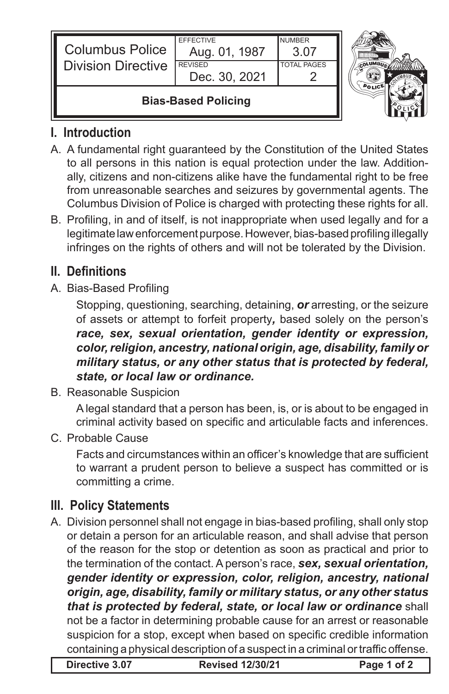| <b>Columbus Police</b><br><b>Division Directive</b> | <b>FFFFCTIVE</b><br>Aug. 01, 1987<br><b>REVISED</b><br>Dec. 30, 2021 | <b>NUMBER</b><br>3 OZ<br><b>TOTAL PAGES</b> |  |
|-----------------------------------------------------|----------------------------------------------------------------------|---------------------------------------------|--|
| <b>Bias-Based Policing</b>                          |                                                                      |                                             |  |



## **I. Introduction**

- A. A fundamental right guaranteed by the Constitution of the United States to all persons in this nation is equal protection under the law. Additionally, citizens and non-citizens alike have the fundamental right to be free from unreasonable searches and seizures by governmental agents. The Columbus Division of Police is charged with protecting these rights for all.
- B. Profiling, in and of itself, is not inappropriate when used legally and for a legitimate law enforcement purpose. However, bias-based profiling illegally infringes on the rights of others and will not be tolerated by the Division.

## **II. Definitions**

A. Bias-Based Profiling

Stopping, questioning, searching, detaining, *or* arresting, or the seizure of assets or attempt to forfeit property*,* based solely on the person's *race, sex, sexual orientation, gender identity or expression, color, religion, ancestry, national origin, age, disability, family or military status, or any other status that is protected by federal, state, or local law or ordinance.* 

B. Reasonable Suspicion

A legal standard that a person has been, is, or is about to be engaged in criminal activity based on specific and articulable facts and inferences.

C. Probable Cause

 Facts and circumstances within an officer's knowledge that are sufficient to warrant a prudent person to believe a suspect has committed or is committing a crime.

## **III. Policy Statements**

A. Division personnel shall not engage in bias-based profiling, shall only stop or detain a person for an articulable reason, and shall advise that person of the reason for the stop or detention as soon as practical and prior to the termination of the contact. A person's race, *sex, sexual orientation, gender identity or expression, color, religion, ancestry, national origin, age, disability, family or military status, or any other status that is protected by federal, state, or local law or ordinance* shall not be a factor in determining probable cause for an arrest or reasonable suspicion for a stop, except when based on specific credible information containing a physical description of a suspect in a criminal or traffic offense.

**Directive 3.07 Revised 12/30/21 Page 1 of 2**